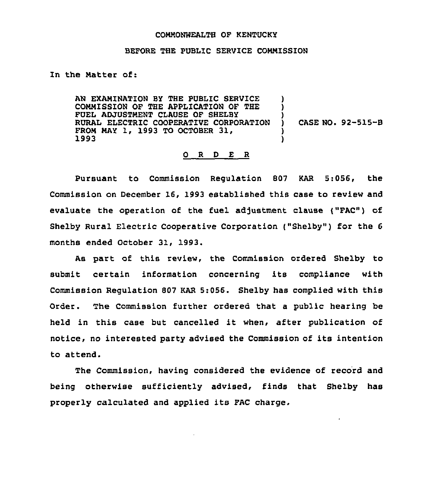## COMMONWEALTH QF KENTUCKY

## BEFORE THE PUBLIC SERVICE COMMISSION

## In the Matter of:

AN EXAMINATION BY THE PUBLIC SERVICE COMMISSION OF THE APPLICATION OF THE FUEL ADJUSTMENT CLAUSE OF SHELBY RURAL ELECTRIC COOPERATIVE CORPORATION FROM MAY 1, 1993 TO OCTOBER 31> 1993

) CASE NO. 92-515-8

) )

 $\mathbf{r}$ 

) )

## 0 <sup>R</sup> <sup>D</sup> E <sup>R</sup>

Pursuant to Commission Regulation 807 KAR 5:056, the Commission on December 16, 1993 established this case to review and evaluate the operation of the fuel adjustment clause ("FAC") of Shelby Rural Electric Cooperative Corporation ("Shelby") for the 6 months ended October 31, 1993.

As part of this review, the Commission ordered Shelby to submit certain information concerning its compliance with Commission Regulation 807 KAR 5:056. Shelby has complied with this Order. The Commission further ordered that a public hearing be held in this case but cancelled it when, after publication of notice, no interested party advised the Commission of its intention to attend.

The Commission, having considered the evidence of record and being otherwise sufficiently advised, finds that Shelby has properly calculated and applied its FAC charge,